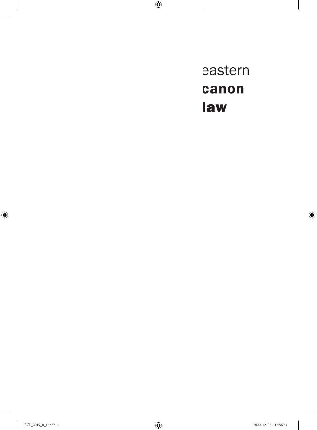eastern canon law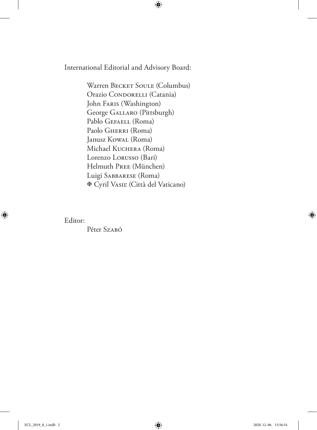International Editorial and Advisory Board:

Warren BECKET SOULE (Columbus) Orazio CONDORELLI (Catania) John Faris (Washington) George Gallaro (Pittsburgh) Pablo GEFAELL (Roma) Paolo GHERRI (Roma) Janusz Kowal (Roma) Michael Kuchera (Roma) Lorenzo Lorusso (Bari) Helmuth Pree (München) Luigi Sabbarese (Roma) Cyril Vasiľ (Città del Vaticano)

Editor:

Péter Szaró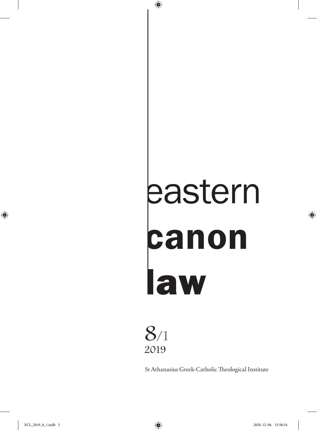# eastern canon law



St Athanasius Greek-Catholic Theological Institute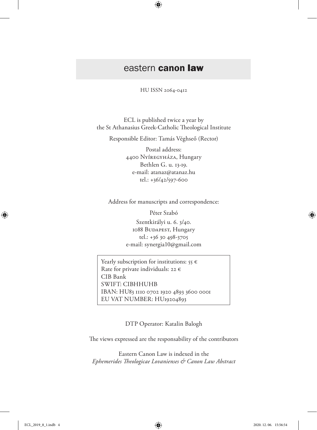# eastern canon law

HU ISSN 2064-0412

ECL is published twice a year by the St Athanasius Greek-Catholic Theological Institute

Responsible Editor: Tamás Véghseő (Rector)

Postal address: 4400 Nyíregyháza, Hungary Bethlen G. u. 13-19. e-mail: atanaz@atanaz.hu tel.: +36/42/597-600

Address for manuscripts and correspondence:

Péter Szabó

Szentkirályi u. 6. 3/40. 1088 BUDAPEST, Hungary tel.: +36 30 498-3705 e-mail: synergia10@gmail.com

Yearly subscription for institutions:  $55 \in$ Rate for private individuals: 22  $\epsilon$ CIB Bank SWIFT: CIBHHUHB IBAN: HU83 1110 0702 1920 4893 3600 0001 EU VAT NUMBER: HU19204893

DTP Operator: Katalin Balogh

The views expressed are the responsability of the contributors

Eastern Canon Law is indexed in the *Ephemerides Theologicae Lovanienses & Canon Law Abstract*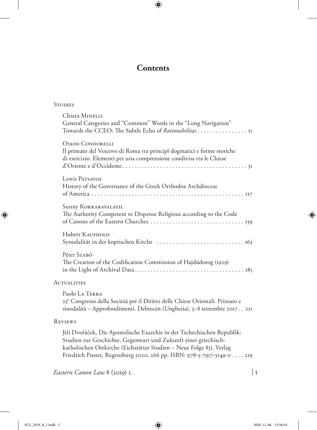## **Contents**

#### **STUDIES**

|                    | Chiara MINELLI<br>General Categories and "Common" Words in the "Long Navigation"<br>Towards the CCEO: The Subtle Echo of Rationabilitas II                         |
|--------------------|--------------------------------------------------------------------------------------------------------------------------------------------------------------------|
|                    | Orazio CONDORELLI<br>Il primato del Vescovo di Roma tra principì dogmatici e forme storiche<br>di esercizio. Elementi per una comprensione condivisa tra le Chiese |
|                    | Lewis Parsavos<br>History of the Governance of the Greek Orthodox Archdiocese                                                                                      |
|                    | Sunny KOKKARAVALAYIL<br>The Authority Competent to Dispense Religious according to the Code                                                                        |
|                    | Hubert KAUFHOLD                                                                                                                                                    |
|                    | Péter Szabó<br>The Creation of the Codification Commission of Hajdúdorog (1929)                                                                                    |
| <b>ACTUALITIES</b> |                                                                                                                                                                    |
|                    | Paolo LA TERRA                                                                                                                                                     |

23° Congresso della Società per il Diritto delle Chiese Orientali. Primato e sinodalità – Approfondimenti. Debrecen (Ungheria), 3-8 settembre 2017. . 211

#### Reviews

Jiří Dvořáček, Die Apostolische Exarchie in der Tschechischen Republik: Studien zur Geschichte, Gegenwart und Zukunft einer griechischkatholischen Ostkirche (Eichstätter Studien – Neue Folge 83), Verlag Friedrich Pustet, Regensburg 2020, 266 pp. ISBN: 978-3-7917-3149-0. . . 219

*Eastern Canon Law* 8 (2019) 1.  $\vert$  5